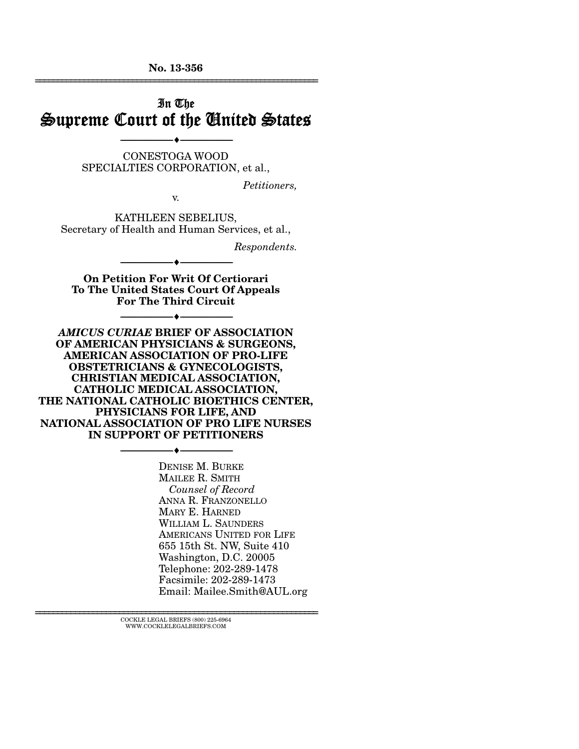**No. 13-356**  ================================================================

# In The Supreme Court of the United States

CONESTOGA WOOD SPECIALTIES CORPORATION, et al.,

--------------------------------- ---------------------------------

*Petitioners,* 

KATHLEEN SEBELIUS, Secretary of Health and Human Services, et al.,

v.

*Respondents.* 

**On Petition For Writ Of Certiorari To The United States Court Of Appeals For The Third Circuit**

--------------------------------- ---------------------------------

--------------------------------- ---------------------------------

*AMICUS CURIAE* **BRIEF OF ASSOCIATION OF AMERICAN PHYSICIANS & SURGEONS, AMERICAN ASSOCIATION OF PRO-LIFE OBSTETRICIANS & GYNECOLOGISTS, CHRISTIAN MEDICAL ASSOCIATION, CATHOLIC MEDICAL ASSOCIATION, THE NATIONAL CATHOLIC BIOETHICS CENTER, PHYSICIANS FOR LIFE, AND NATIONAL ASSOCIATION OF PRO LIFE NURSES IN SUPPORT OF PETITIONERS**

--------------------------------- ---------------------------------

DENISE M. BURKE MAILEE R. SMITH  *Counsel of Record*  ANNA R. FRANZONELLO MARY E. HARNED WILLIAM L. SAUNDERS AMERICANS UNITED FOR LIFE 655 15th St. NW, Suite 410 Washington, D.C. 20005 Telephone: 202-289-1478 Facsimile: 202-289-1473 Email: Mailee.Smith@AUL.org

 $\textsc{COCKLE}$  LEGAL BRIEFS (800) 225-6964 WWW.COCKLELEGALBRIEFS.COM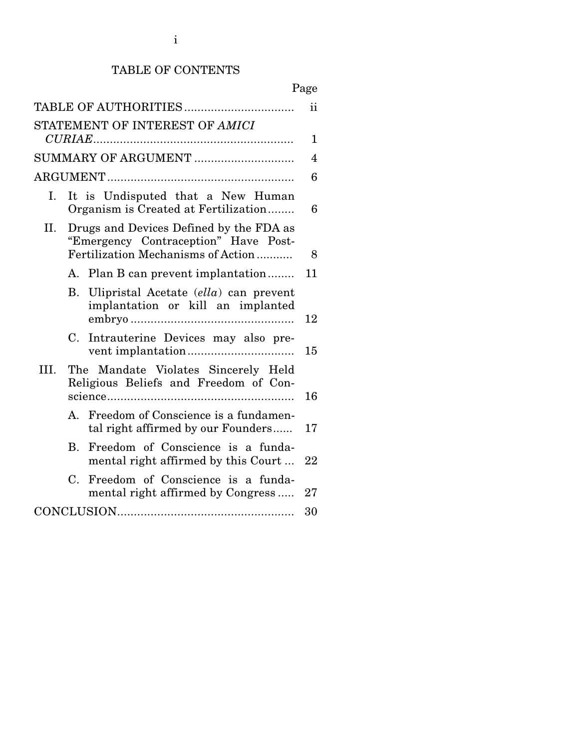# TABLE OF CONTENTS

|      |             | TABLE OF AUTHORITIES                                                                                                  | $\mathbf{ii}$  |
|------|-------------|-----------------------------------------------------------------------------------------------------------------------|----------------|
|      |             | STATEMENT OF INTEREST OF AMICI                                                                                        |                |
|      |             |                                                                                                                       | 1              |
|      |             | SUMMARY OF ARGUMENT                                                                                                   | $\overline{4}$ |
|      |             |                                                                                                                       | 6              |
| I.   |             | It is Undisputed that a New Human<br>Organism is Created at Fertilization                                             | 6              |
| II.  |             | Drugs and Devices Defined by the FDA as<br>"Emergency Contraception" Have Post-<br>Fertilization Mechanisms of Action | 8              |
|      |             | A. Plan B can prevent implantation                                                                                    | 11             |
|      | B.          | Ulipristal Acetate (ella) can prevent<br>implantation or kill an implanted                                            | 12             |
|      | $C_{\cdot}$ | Intrauterine Devices may also pre-                                                                                    | 15             |
| III. |             | The Mandate Violates Sincerely Held<br>Religious Beliefs and Freedom of Con-                                          | 16             |
|      | А.          | Freedom of Conscience is a fundamen-<br>tal right affirmed by our Founders                                            | 17             |
|      | В.          | Freedom of Conscience is a funda-<br>mental right affirmed by this Court                                              | 22             |
|      | $C_{\cdot}$ | Freedom of Conscience is a funda-<br>mental right affirmed by Congress                                                | 27             |
|      |             |                                                                                                                       | 30             |
|      |             |                                                                                                                       |                |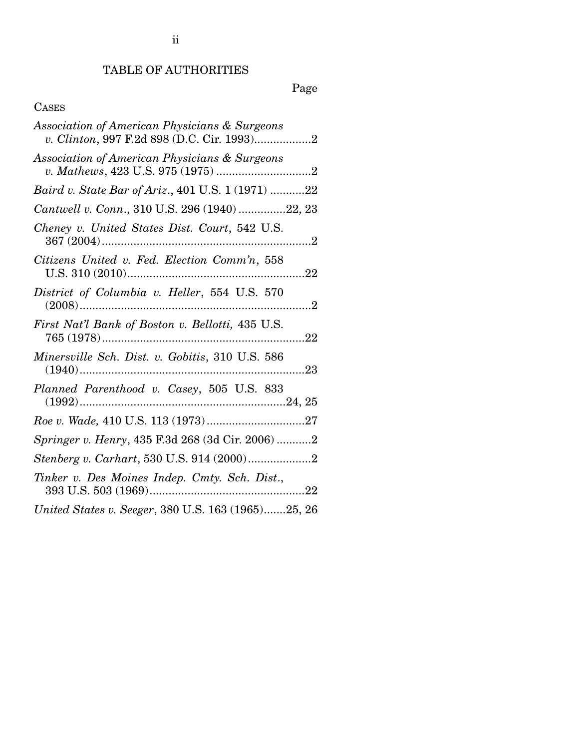## TABLE OF AUTHORITIES

Page

### CASES

| Association of American Physicians & Surgeons          |
|--------------------------------------------------------|
| Association of American Physicians & Surgeons          |
| Baird v. State Bar of Ariz., 401 U.S. 1 (1971) 22      |
| Cantwell v. Conn., 310 U.S. 296 (1940) 22, 23          |
| Cheney v. United States Dist. Court, 542 U.S.          |
| Citizens United v. Fed. Election Comm'n, 558           |
| District of Columbia v. Heller, 554 U.S. 570           |
| First Nat'l Bank of Boston v. Bellotti, 435 U.S.<br>22 |
| Minersville Sch. Dist. v. Gobitis, 310 U.S. 586<br>23  |
| Planned Parenthood v. Casey, 505 U.S. 833              |
|                                                        |
| Springer v. Henry, 435 F.3d 268 (3d Cir. 2006) 2       |
| Stenberg v. Carhart, 530 U.S. 914 (2000)2              |
| Tinker v. Des Moines Indep. Cmty. Sch. Dist.,          |
| United States v. Seeger, 380 U.S. 163 (1965)25, 26     |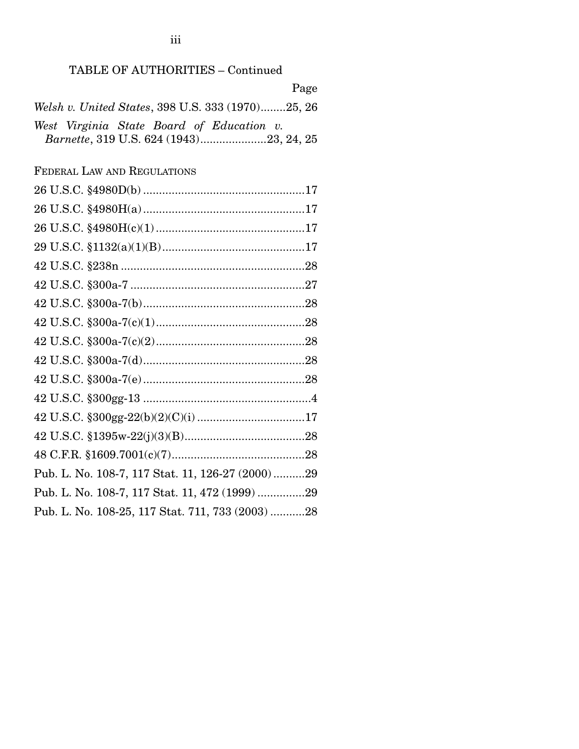| Page                                                                                 |
|--------------------------------------------------------------------------------------|
| Welsh v. United States, 398 U.S. 333 (1970)25, 26                                    |
| West Virginia State Board of Education v.<br>Barnette, 319 U.S. 624 (1943)23, 24, 25 |
| FEDERAL LAW AND REGULATIONS                                                          |
|                                                                                      |
|                                                                                      |
|                                                                                      |
|                                                                                      |
|                                                                                      |
|                                                                                      |
|                                                                                      |
|                                                                                      |
|                                                                                      |
|                                                                                      |
|                                                                                      |
|                                                                                      |
|                                                                                      |
|                                                                                      |
|                                                                                      |
| Pub. L. No. 108-7, 117 Stat. 11, 126-27 (2000)29                                     |
| Pub. L. No. 108-7, 117 Stat. 11, 472 (1999) 29                                       |
| Pub. L. No. 108-25, 117 Stat. 711, 733 (2003) 28                                     |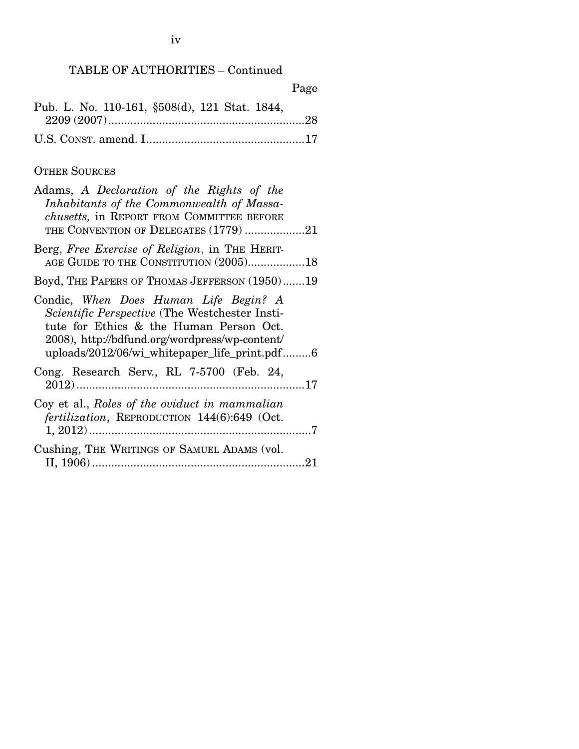|                                               | Page |
|-----------------------------------------------|------|
| Pub. L. No. 110-161, §508(d), 121 Stat. 1844, |      |
|                                               |      |
|                                               |      |
|                                               |      |

# OTHER SOURCES

| Adams, A Declaration of the Rights of the<br>Inhabitants of the Commonwealth of Massa-<br><i>chusetts</i> , in REPORT FROM COMMITTEE BEFORE<br>THE CONVENTION OF DELEGATES (1779) 21                                                  |
|---------------------------------------------------------------------------------------------------------------------------------------------------------------------------------------------------------------------------------------|
| Berg, <i>Free Exercise of Religion</i> , in THE HERIT-<br>AGE GUIDE TO THE CONSTITUTION (2005)18                                                                                                                                      |
| Boyd, THE PAPERS OF THOMAS JEFFERSON (1950)19                                                                                                                                                                                         |
| Condic, When Does Human Life Begin? A<br>Scientific Perspective (The Westchester Insti-<br>tute for Ethics & the Human Person Oct.<br>2008), http://bdfund.org/wordpress/wp-content/<br>uploads/2012/06/wi_whitepaper_life_print.pdf6 |
| Cong. Research Serv., RL 7-5700 (Feb. 24,                                                                                                                                                                                             |
| Coy et al., Roles of the oviduct in mammalian<br>fertilization, REPRODUCTION 144(6):649 (Oct.                                                                                                                                         |
| Cushing, THE WRITINGS OF SAMUEL ADAMS (vol.                                                                                                                                                                                           |

iv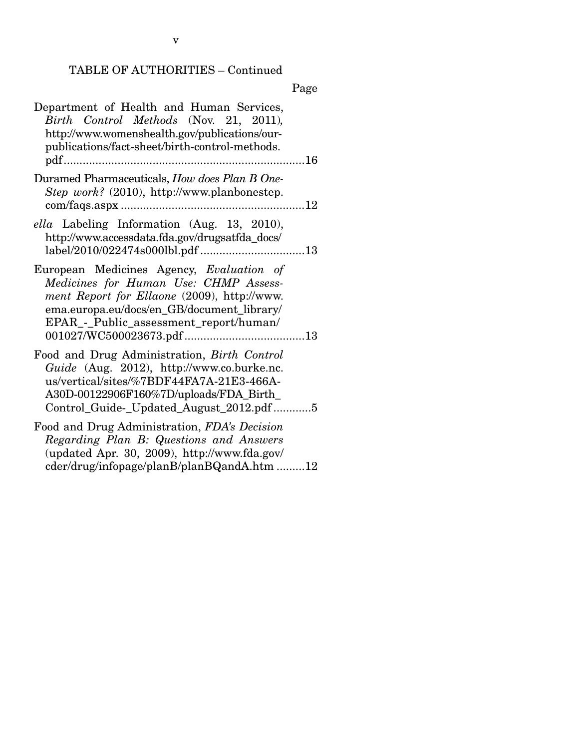### Page

| Department of Health and Human Services,<br>Birth Control Methods (Nov. 21, 2011),<br>http://www.womenshealth.gov/publications/our-<br>publications/fact-sheet/birth-control-methods.                                        |
|------------------------------------------------------------------------------------------------------------------------------------------------------------------------------------------------------------------------------|
| Duramed Pharmaceuticals, How does Plan B One-<br>Step work? (2010), http://www.planbonestep.                                                                                                                                 |
| ella Labeling Information (Aug. 13, 2010),<br>http://www.accessdata.fda.gov/drugsatfda_docs/                                                                                                                                 |
| European Medicines Agency, Evaluation of<br>Medicines for Human Use: CHMP Assess-<br>ment Report for Ellaone (2009), http://www.<br>ema.europa.eu/docs/en_GB/document_library/<br>EPAR_-_Public_assessment_report/human/     |
| Food and Drug Administration, Birth Control<br>Guide (Aug. 2012), http://www.co.burke.nc.<br>us/vertical/sites/%7BDF44FA7A-21E3-466A-<br>A30D-00122906F160%7D/uploads/FDA_Birth_<br>Control_Guide-_Updated_August_2012.pdf 5 |
| Food and Drug Administration, FDA's Decision<br>Regarding Plan B: Questions and Answers<br>(updated Apr. 30, 2009), http://www.fda.gov/<br>cder/drug/infopage/planB/planBQandA.htm 12                                        |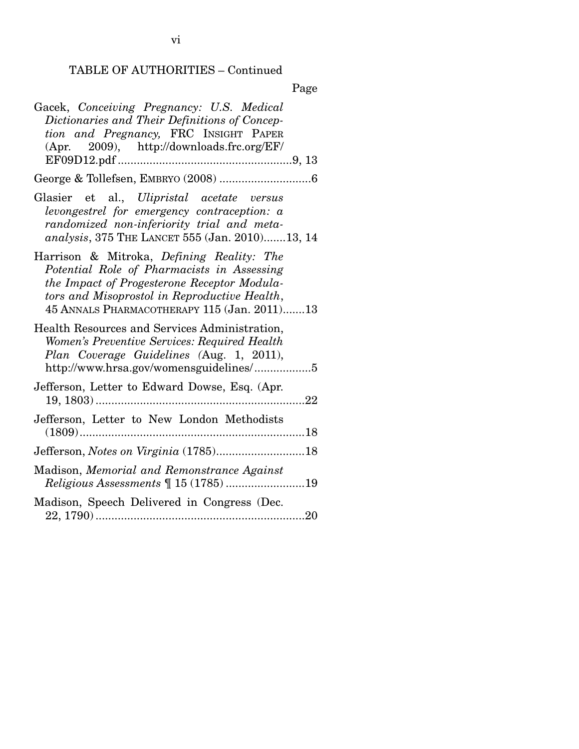Page

| Gacek, Conceiving Pregnancy: U.S. Medical<br>Dictionaries and Their Definitions of Concep-<br>tion and Pregnancy, FRC INSIGHT PAPER<br>(Apr. 2009), http://downloads.frc.org/EF/                                                      |  |
|---------------------------------------------------------------------------------------------------------------------------------------------------------------------------------------------------------------------------------------|--|
|                                                                                                                                                                                                                                       |  |
| Glasier et al., Ulipristal acetate versus<br>levongestrel for emergency contraception: a<br>randomized non-inferiority trial and meta-<br>analysis, 375 THE LANCET 555 (Jan. 2010)13, 14                                              |  |
| Harrison & Mitroka, Defining Reality: The<br>Potential Role of Pharmacists in Assessing<br>the Impact of Progesterone Receptor Modula-<br>tors and Misoprostol in Reproductive Health,<br>45 ANNALS PHARMACOTHERAPY 115 (Jan. 2011)13 |  |
| Health Resources and Services Administration,<br>Women's Preventive Services: Required Health<br>Plan Coverage Guidelines (Aug. 1, 2011),<br>http://www.hrsa.gov/womensguidelines/5                                                   |  |
| Jefferson, Letter to Edward Dowse, Esq. (Apr.                                                                                                                                                                                         |  |
| Jefferson, Letter to New London Methodists                                                                                                                                                                                            |  |
| Jefferson, Notes on Virginia (1785)18                                                                                                                                                                                                 |  |
| Madison, Memorial and Remonstrance Against<br><i>Religious Assessments</i>   15 (1785) 19                                                                                                                                             |  |
| Madison, Speech Delivered in Congress (Dec.                                                                                                                                                                                           |  |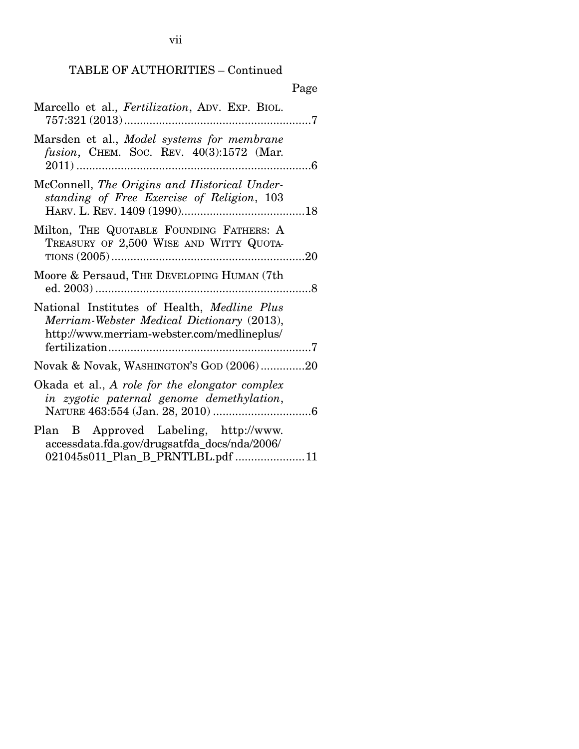|                                                                                                                                                 | Page |
|-------------------------------------------------------------------------------------------------------------------------------------------------|------|
| Marcello et al., <i>Fertilization</i> , ADV. EXP. BIOL.                                                                                         |      |
| Marsden et al., <i>Model systems for membrane</i><br>fusion, CHEM. Soc. REV. 40(3):1572 (Mar.                                                   |      |
| McConnell, The Origins and Historical Under-<br>standing of Free Exercise of Religion, 103                                                      |      |
| Milton, THE QUOTABLE FOUNDING FATHERS: A<br>TREASURY OF 2,500 WISE AND WITTY QUOTA-                                                             |      |
| Moore & Persaud, THE DEVELOPING HUMAN (7th                                                                                                      |      |
| National Institutes of Health, <i>Medline Plus</i><br>Merriam-Webster Medical Dictionary (2013),<br>http://www.merriam-webster.com/medlineplus/ |      |
| Novak & Novak, WASHINGTON's GOD (2006)20                                                                                                        |      |
| Okada et al., A role for the elongator complex<br>in zygotic paternal genome demethylation,                                                     |      |
| Plan B Approved Labeling, http://www.<br>accessdata.fda.gov/drugsatfda_docs/nda/2006/<br>021045s011_Plan_B_PRNTLBL.pdf 11                       |      |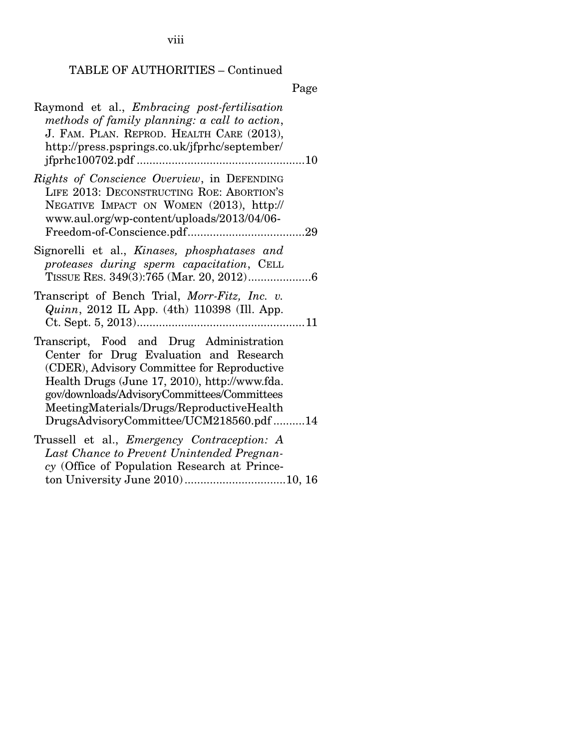viii

### TABLE OF AUTHORITIES – Continued

Page

| Raymond et al., <i>Embracing post-fertilisation</i><br>methods of family planning: a call to action,<br>J. FAM. PLAN. REPROD. HEALTH CARE (2013),<br>http://press.psprings.co.uk/jfprhc/september/                                                                                                                         |  |
|----------------------------------------------------------------------------------------------------------------------------------------------------------------------------------------------------------------------------------------------------------------------------------------------------------------------------|--|
| Rights of Conscience Overview, in DEFENDING<br>LIFE 2013: DECONSTRUCTING ROE: ABORTION'S<br>NEGATIVE IMPACT ON WOMEN (2013), http://<br>www.aul.org/wp-content/uploads/2013/04/06-                                                                                                                                         |  |
| Signorelli et al., Kinases, phosphatases and<br>proteases during sperm capacitation, CELL                                                                                                                                                                                                                                  |  |
| Transcript of Bench Trial, Morr-Fitz, Inc. v.<br>Quinn, 2012 IL App. (4th) 110398 (Ill. App.                                                                                                                                                                                                                               |  |
| Transcript, Food and Drug Administration<br>Center for Drug Evaluation and Research<br>(CDER), Advisory Committee for Reproductive<br>Health Drugs (June 17, 2010), http://www.fda.<br>gov/downloads/AdvisoryCommittees/Committees<br>MeetingMaterials/Drugs/ReproductiveHealth<br>DrugsAdvisoryCommittee/UCM218560.pdf 14 |  |
| Trussell et al., <i>Emergency Contraception: A</i><br>Last Chance to Prevent Unintended Pregnan-                                                                                                                                                                                                                           |  |

*Last Chance to Prevent Unintended Pregnancy* (Office of Population Research at Princeton University June 2010) ................................ 10, 16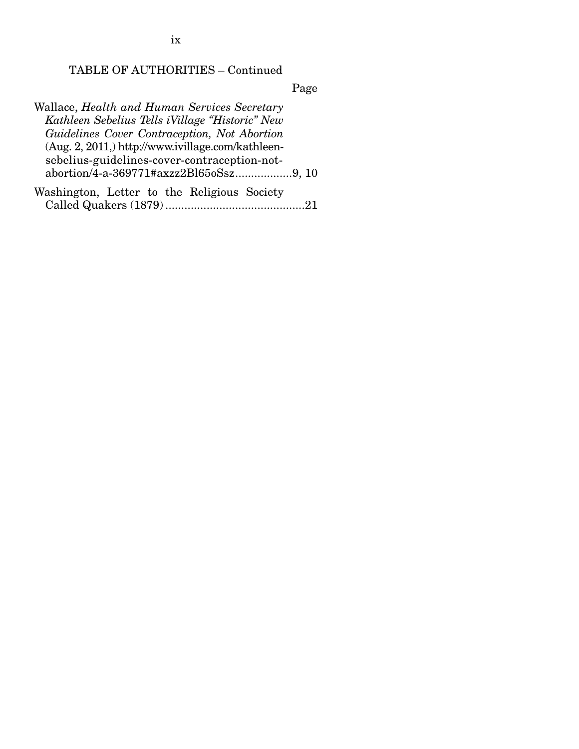ix

# TABLE OF AUTHORITIES – Continued

Page

| Wallace, Health and Human Services Secretary      |
|---------------------------------------------------|
| Kathleen Sebelius Tells iVillage "Historic" New   |
| Guidelines Cover Contraception, Not Abortion      |
| (Aug. 2, 2011,) http://www.ivillage.com/kathleen- |
| sebelius-guidelines-cover-contraception-not-      |
| abortion/4-a-369771#axzz2Bl65oSsz9, 10            |
| Washington, Letter to the Religious Society       |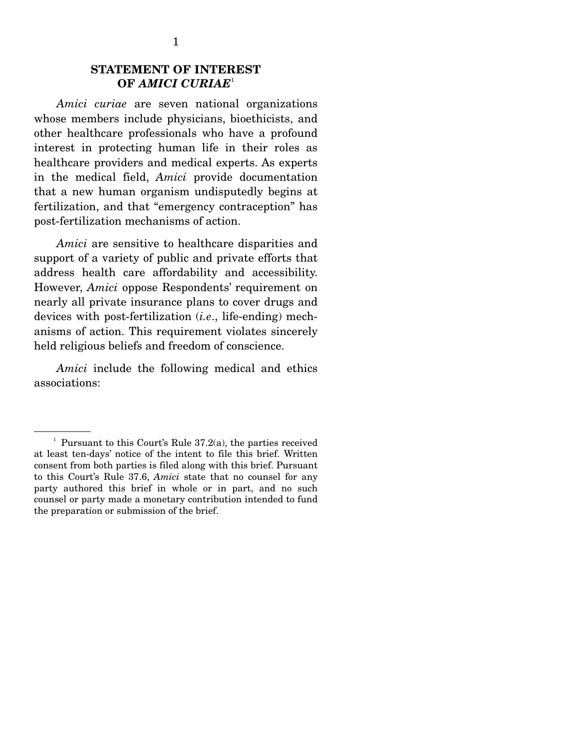### **STATEMENT OF INTEREST OF** *AMICI CURIAE*<sup>1</sup>

*Amici curiae* are seven national organizations whose members include physicians, bioethicists, and other healthcare professionals who have a profound interest in protecting human life in their roles as healthcare providers and medical experts. As experts in the medical field, *Amici* provide documentation that a new human organism undisputedly begins at fertilization, and that "emergency contraception" has post-fertilization mechanisms of action.

*Amici* are sensitive to healthcare disparities and support of a variety of public and private efforts that address health care affordability and accessibility. However, *Amici* oppose Respondents' requirement on nearly all private insurance plans to cover drugs and devices with post-fertilization (*i.e*., life-ending) mechanisms of action. This requirement violates sincerely held religious beliefs and freedom of conscience.

*Amici* include the following medical and ethics associations:

<sup>&</sup>lt;sup>1</sup> Pursuant to this Court's Rule  $37.2(a)$ , the parties received at least ten-days' notice of the intent to file this brief. Written consent from both parties is filed along with this brief. Pursuant to this Court's Rule 37.6, *Amici* state that no counsel for any party authored this brief in whole or in part, and no such counsel or party made a monetary contribution intended to fund the preparation or submission of the brief.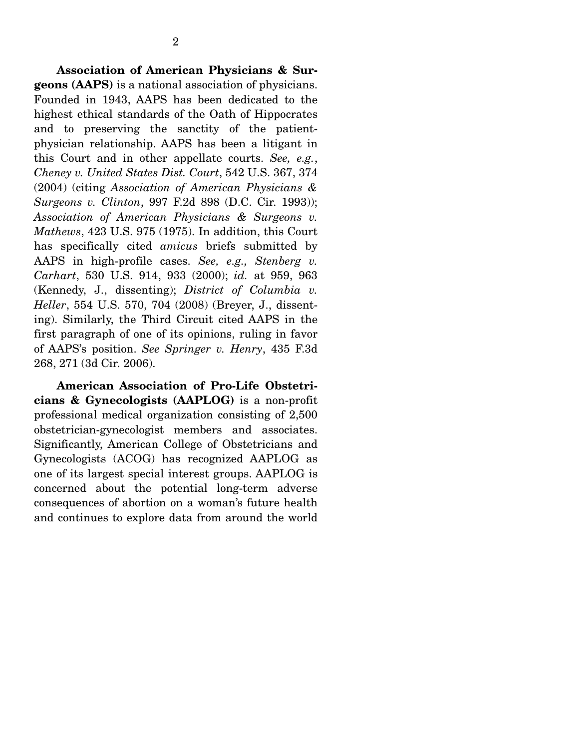**Association of American Physicians & Surgeons (AAPS)** is a national association of physicians. Founded in 1943, AAPS has been dedicated to the highest ethical standards of the Oath of Hippocrates and to preserving the sanctity of the patientphysician relationship. AAPS has been a litigant in this Court and in other appellate courts. *See, e.g.*, *Cheney v. United States Dist. Court*, 542 U.S. 367, 374 (2004) (citing *Association of American Physicians & Surgeons v. Clinton*, 997 F.2d 898 (D.C. Cir. 1993)); *Association of American Physicians & Surgeons v. Mathews*, 423 U.S. 975 (1975). In addition, this Court has specifically cited *amicus* briefs submitted by AAPS in high-profile cases. *See, e.g., Stenberg v. Carhart*, 530 U.S. 914, 933 (2000); *id.* at 959, 963 (Kennedy, J., dissenting); *District of Columbia v. Heller*, 554 U.S. 570, 704 (2008) (Breyer, J., dissenting). Similarly, the Third Circuit cited AAPS in the first paragraph of one of its opinions, ruling in favor of AAPS's position. *See Springer v. Henry*, 435 F.3d 268, 271 (3d Cir. 2006).

**American Association of Pro-Life Obstetricians & Gynecologists (AAPLOG)** is a non-profit professional medical organization consisting of 2,500 obstetrician-gynecologist members and associates. Significantly, American College of Obstetricians and Gynecologists (ACOG) has recognized AAPLOG as one of its largest special interest groups. AAPLOG is concerned about the potential long-term adverse consequences of abortion on a woman's future health and continues to explore data from around the world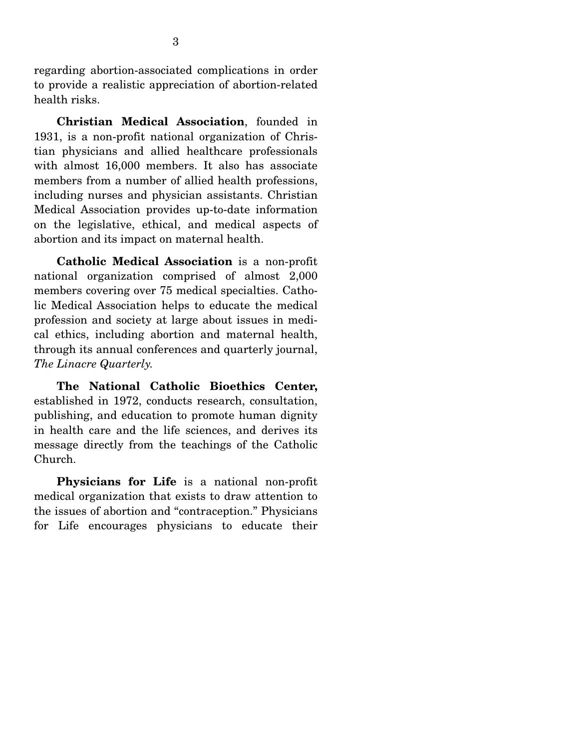regarding abortion-associated complications in order to provide a realistic appreciation of abortion-related health risks.

**Christian Medical Association**, founded in 1931, is a non-profit national organization of Christian physicians and allied healthcare professionals with almost 16,000 members. It also has associate members from a number of allied health professions, including nurses and physician assistants. Christian Medical Association provides up-to-date information on the legislative, ethical, and medical aspects of abortion and its impact on maternal health.

**Catholic Medical Association** is a non-profit national organization comprised of almost 2,000 members covering over 75 medical specialties. Catholic Medical Association helps to educate the medical profession and society at large about issues in medical ethics, including abortion and maternal health, through its annual conferences and quarterly journal, *The Linacre Quarterly.* 

**The National Catholic Bioethics Center,**  established in 1972, conducts research, consultation, publishing, and education to promote human dignity in health care and the life sciences, and derives its message directly from the teachings of the Catholic Church.

**Physicians for Life** is a national non-profit medical organization that exists to draw attention to the issues of abortion and "contraception." Physicians for Life encourages physicians to educate their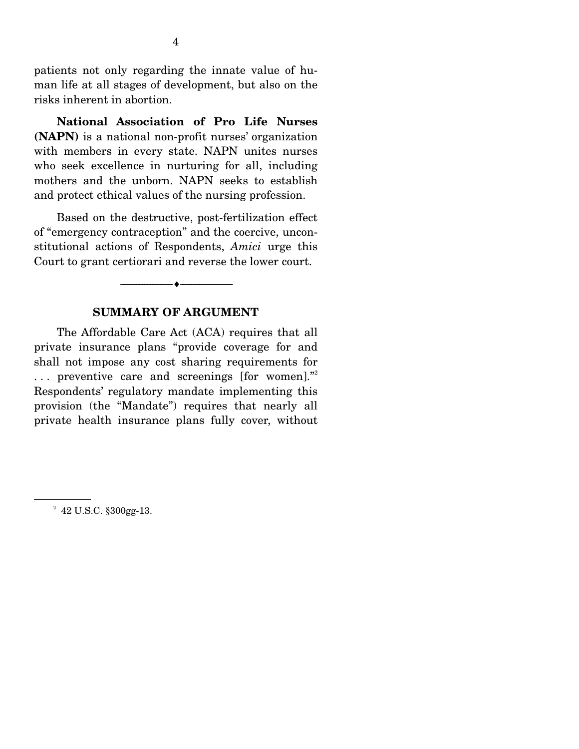patients not only regarding the innate value of human life at all stages of development, but also on the risks inherent in abortion.

**National Association of Pro Life Nurses (NAPN)** is a national non-profit nurses' organization with members in every state. NAPN unites nurses who seek excellence in nurturing for all, including mothers and the unborn. NAPN seeks to establish and protect ethical values of the nursing profession.

 Based on the destructive, post-fertilization effect of "emergency contraception" and the coercive, unconstitutional actions of Respondents, *Amici* urge this Court to grant certiorari and reverse the lower court.

### **SUMMARY OF ARGUMENT**

--------------------------------- ---------------------------------

The Affordable Care Act (ACA) requires that all private insurance plans "provide coverage for and shall not impose any cost sharing requirements for  $\ldots$  preventive care and screenings [for women]." Respondents' regulatory mandate implementing this provision (the "Mandate") requires that nearly all private health insurance plans fully cover, without

 $2^2$  42 U.S.C.  $$300gg-13$ .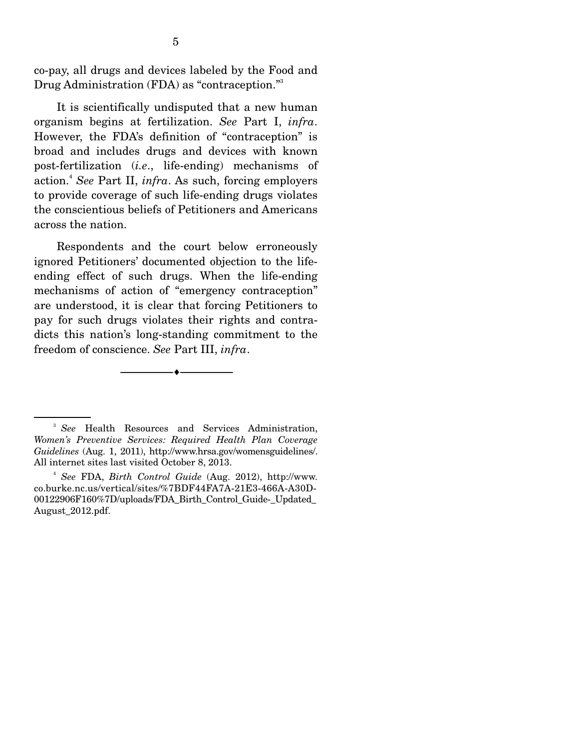co-pay, all drugs and devices labeled by the Food and Drug Administration (FDA) as "contraception."<sup>3</sup>

 It is scientifically undisputed that a new human organism begins at fertilization. *See* Part I, *infra*. However, the FDA's definition of "contraception" is broad and includes drugs and devices with known post-fertilization (*i.e*., life-ending) mechanisms of action.<sup>4</sup> *See* Part II, *infra*. As such, forcing employers to provide coverage of such life-ending drugs violates the conscientious beliefs of Petitioners and Americans across the nation.

 Respondents and the court below erroneously ignored Petitioners' documented objection to the lifeending effect of such drugs. When the life-ending mechanisms of action of "emergency contraception" are understood, it is clear that forcing Petitioners to pay for such drugs violates their rights and contradicts this nation's long-standing commitment to the freedom of conscience. *See* Part III, *infra*.

--------------------------------- ---------------------------------

<sup>3</sup> *See* Health Resources and Services Administration, *Women's Preventive Services: Required Health Plan Coverage Guidelines* (Aug. 1, 2011), http://www.hrsa.gov/womensguidelines/. All internet sites last visited October 8, 2013.

<sup>4</sup> *See* FDA, *Birth Control Guide* (Aug. 2012), http://www. co.burke.nc.us/vertical/sites/%7BDF44FA7A-21E3-466A-A30D-00122906F160%7D/uploads/FDA\_Birth\_Control\_Guide-\_Updated\_ August\_2012.pdf.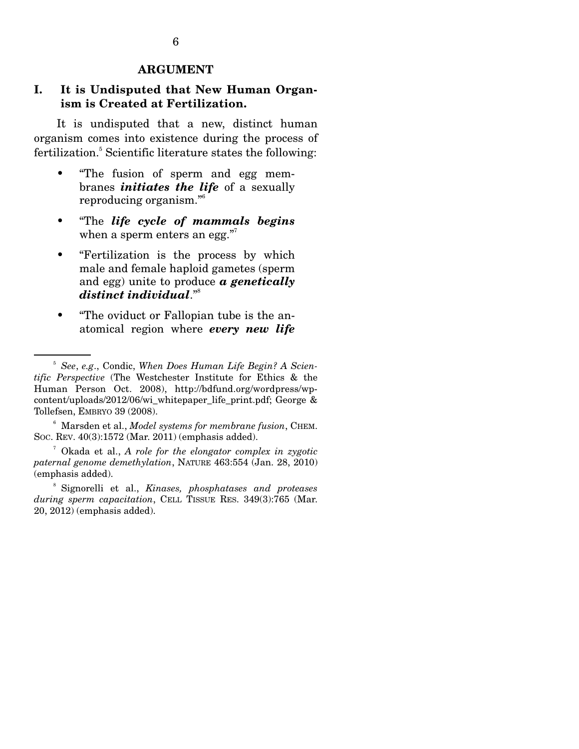#### **ARGUMENT**

### **I. It is Undisputed that New Human Organism is Created at Fertilization.**

It is undisputed that a new, distinct human organism comes into existence during the process of fertilization.<sup>5</sup> Scientific literature states the following:

- "The fusion of sperm and egg membranes *initiates the life* of a sexually reproducing organism."6
- "The *life cycle of mammals begins* when a sperm enters an egg." $\frac{1}{2}$
- "Fertilization is the process by which male and female haploid gametes (sperm and egg) unite to produce *a genetically distinct individual*."8
- "The oviduct or Fallopian tube is the anatomical region where *every new life*

<sup>5</sup> *See*, *e.g*., Condic, *When Does Human Life Begin? A Scientific Perspective* (The Westchester Institute for Ethics & the Human Person Oct. 2008), http://bdfund.org/wordpress/wpcontent/uploads/2012/06/wi\_whitepaper\_life\_print.pdf; George & Tollefsen, EMBRYO 39 (2008).

<sup>6</sup> Marsden et al., *Model systems for membrane fusion*, CHEM. SOC. REV. 40(3):1572 (Mar. 2011) (emphasis added).

<sup>7</sup> Okada et al., *A role for the elongator complex in zygotic paternal genome demethylation*, NATURE 463:554 (Jan. 28, 2010) (emphasis added).

<sup>8</sup> Signorelli et al., *Kinases, phosphatases and proteases during sperm capacitation*, CELL TISSUE RES. 349(3):765 (Mar. 20, 2012) (emphasis added).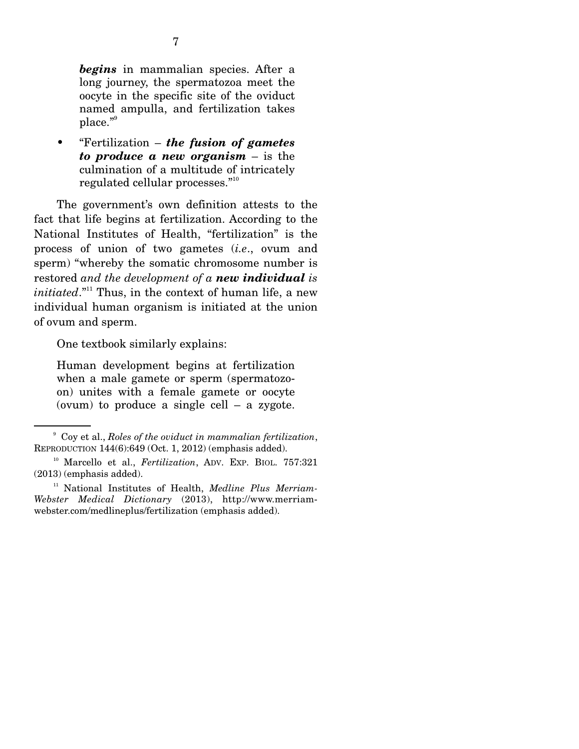*begins* in mammalian species. After a long journey, the spermatozoa meet the oocyte in the specific site of the oviduct named ampulla, and fertilization takes place."<sup>9</sup>

• "Fertilization – *the fusion of gametes to produce a new organism* – is the culmination of a multitude of intricately regulated cellular processes."10

 The government's own definition attests to the fact that life begins at fertilization. According to the National Institutes of Health, "fertilization" is the process of union of two gametes (*i.e*., ovum and sperm) "whereby the somatic chromosome number is restored *and the development of a new individual is initiated.*"<sup>11</sup> Thus, in the context of human life, a new individual human organism is initiated at the union of ovum and sperm.

One textbook similarly explains:

Human development begins at fertilization when a male gamete or sperm (spermatozoon) unites with a female gamete or oocyte (ovum) to produce a single cell  $-$  a zygote.

<sup>9</sup> Coy et al., *Roles of the oviduct in mammalian fertilization*, REPRODUCTION 144(6):649 (Oct. 1, 2012) (emphasis added).

<sup>&</sup>lt;sup>10</sup> Marcello et al., *Fertilization*, ADV. EXP. BIOL. 757:321 (2013) (emphasis added).

<sup>&</sup>lt;sup>11</sup> National Institutes of Health, *Medline Plus Merriam-Webster Medical Dictionary* (2013), http://www.merriamwebster.com/medlineplus/fertilization (emphasis added).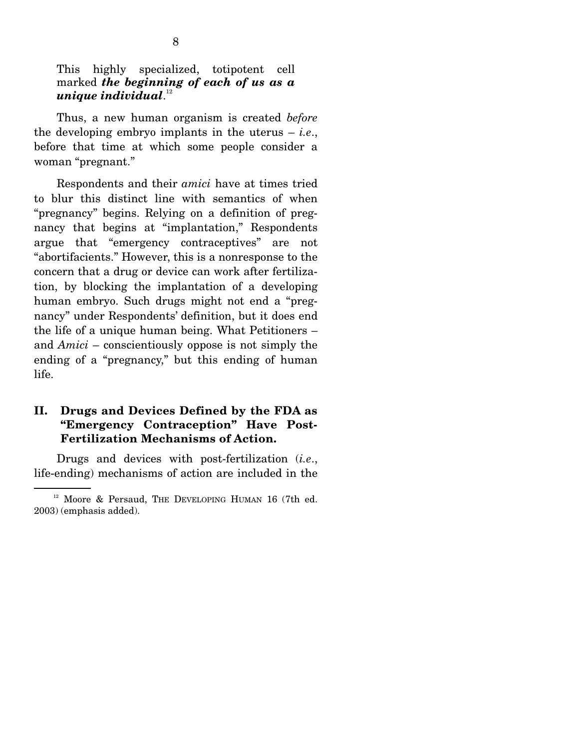This highly specialized, totipotent cell marked *the beginning of each of us as a unique individual*. 12

 Thus, a new human organism is created *before* the developing embryo implants in the uterus – *i.e*., before that time at which some people consider a woman "pregnant."

 Respondents and their *amici* have at times tried to blur this distinct line with semantics of when "pregnancy" begins. Relying on a definition of pregnancy that begins at "implantation," Respondents argue that "emergency contraceptives" are not "abortifacients." However, this is a nonresponse to the concern that a drug or device can work after fertilization, by blocking the implantation of a developing human embryo. Such drugs might not end a "pregnancy" under Respondents' definition, but it does end the life of a unique human being. What Petitioners – and *Amici* – conscientiously oppose is not simply the ending of a "pregnancy," but this ending of human life.

### **II. Drugs and Devices Defined by the FDA as "Emergency Contraception" Have Post-Fertilization Mechanisms of Action.**

Drugs and devices with post-fertilization (*i.e*., life-ending) mechanisms of action are included in the

<sup>&</sup>lt;sup>12</sup> Moore & Persaud, THE DEVELOPING HUMAN 16 (7th ed. 2003) (emphasis added).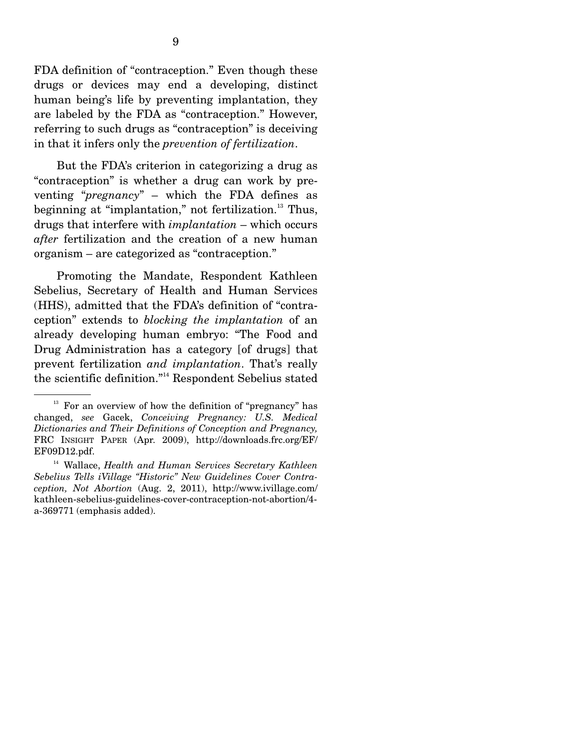FDA definition of "contraception." Even though these drugs or devices may end a developing, distinct human being's life by preventing implantation, they are labeled by the FDA as "contraception." However, referring to such drugs as "contraception" is deceiving in that it infers only the *prevention of fertilization*.

 But the FDA's criterion in categorizing a drug as "contraception" is whether a drug can work by preventing "*pregnancy*" – which the FDA defines as beginning at "implantation," not fertilization. $13$  Thus, drugs that interfere with *implantation* – which occurs *after* fertilization and the creation of a new human organism – are categorized as "contraception."

 Promoting the Mandate, Respondent Kathleen Sebelius, Secretary of Health and Human Services (HHS), admitted that the FDA's definition of "contraception" extends to *blocking the implantation* of an already developing human embryo: "The Food and Drug Administration has a category [of drugs] that prevent fertilization *and implantation*. That's really the scientific definition."14 Respondent Sebelius stated

 $13$  For an overview of how the definition of "pregnancy" has changed, *see* Gacek, *Conceiving Pregnancy: U.S. Medical Dictionaries and Their Definitions of Conception and Pregnancy,*  FRC INSIGHT PAPER (Apr. 2009), http://downloads.frc.org/EF/ EF09D12.pdf.

<sup>14</sup> Wallace, *Health and Human Services Secretary Kathleen Sebelius Tells iVillage "Historic" New Guidelines Cover Contraception, Not Abortion* (Aug. 2, 2011), http://www.ivillage.com/ kathleen-sebelius-guidelines-cover-contraception-not-abortion/4 a-369771 (emphasis added).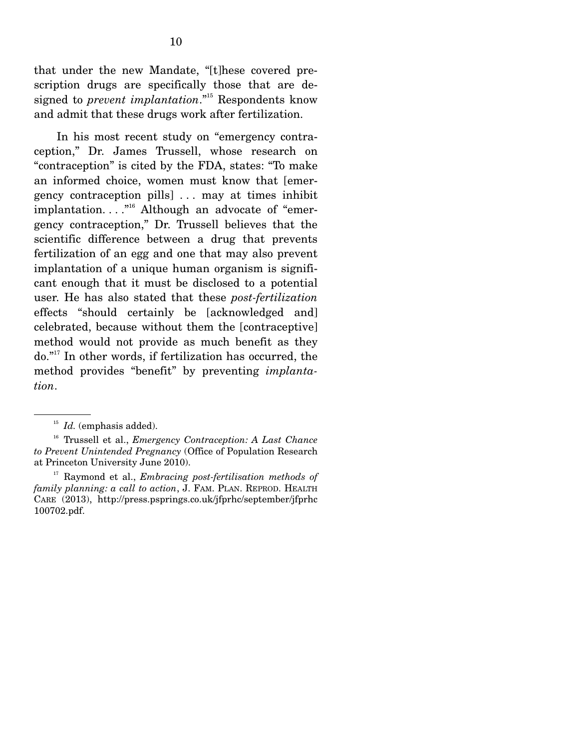that under the new Mandate, "[t]hese covered prescription drugs are specifically those that are designed to *prevent implantation*."15 Respondents know and admit that these drugs work after fertilization.

 In his most recent study on "emergency contraception," Dr. James Trussell, whose research on "contraception" is cited by the FDA, states: "To make an informed choice, women must know that [emergency contraception pills] . . . may at times inhibit implantation.  $\ldots$ <sup>"16</sup> Although an advocate of "emergency contraception," Dr. Trussell believes that the scientific difference between a drug that prevents fertilization of an egg and one that may also prevent implantation of a unique human organism is significant enough that it must be disclosed to a potential user. He has also stated that these *post-fertilization* effects "should certainly be [acknowledged and] celebrated, because without them the [contraceptive] method would not provide as much benefit as they do."17 In other words, if fertilization has occurred, the method provides "benefit" by preventing *implantation*.

<sup>&</sup>lt;sup>15</sup> *Id.* (emphasis added).

<sup>16</sup> Trussell et al., *Emergency Contraception: A Last Chance to Prevent Unintended Pregnancy* (Office of Population Research at Princeton University June 2010).

<sup>17</sup> Raymond et al., *Embracing post-fertilisation methods of family planning: a call to action*, J. FAM. PLAN. REPROD. HEALTH CARE (2013), http://press.psprings.co.uk/jfprhc/september/jfprhc 100702.pdf.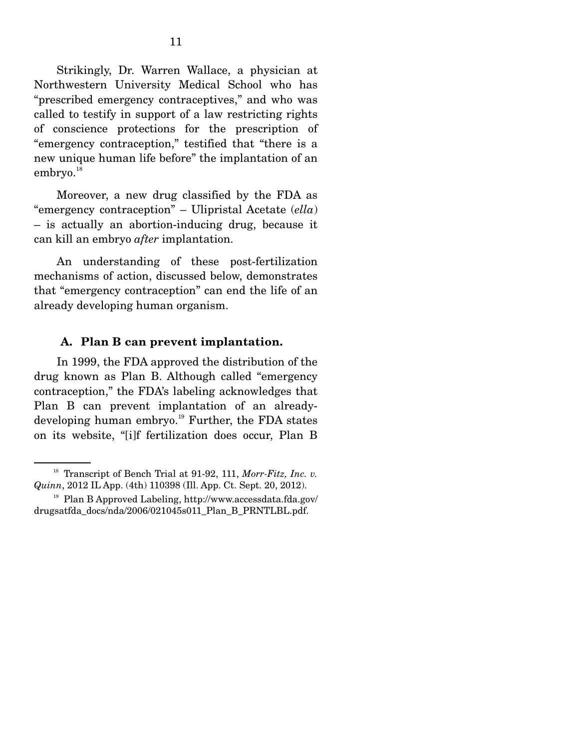Strikingly, Dr. Warren Wallace, a physician at Northwestern University Medical School who has "prescribed emergency contraceptives," and who was called to testify in support of a law restricting rights of conscience protections for the prescription of "emergency contraception," testified that "there is a new unique human life before" the implantation of an  $\mathrm{embryo.}^\mathrm{18}$ 

 Moreover, a new drug classified by the FDA as "emergency contraception" – Ulipristal Acetate (*ella*) – is actually an abortion-inducing drug, because it can kill an embryo *after* implantation.

 An understanding of these post-fertilization mechanisms of action, discussed below, demonstrates that "emergency contraception" can end the life of an already developing human organism.

#### **A. Plan B can prevent implantation.**

In 1999, the FDA approved the distribution of the drug known as Plan B. Although called "emergency contraception," the FDA's labeling acknowledges that Plan B can prevent implantation of an alreadydeveloping human embryo.<sup>19</sup> Further, the FDA states on its website, "[i]f fertilization does occur, Plan B

<sup>&</sup>lt;sup>18</sup> Transcript of Bench Trial at 91-92, 111, *Morr-Fitz, Inc. v. Quinn*, 2012 IL App. (4th) 110398 (Ill. App. Ct. Sept. 20, 2012).

 $19$  Plan B Approved Labeling, http://www.accessdata.fda.gov/ drugsatfda\_docs/nda/2006/021045s011\_Plan\_B\_PRNTLBL.pdf.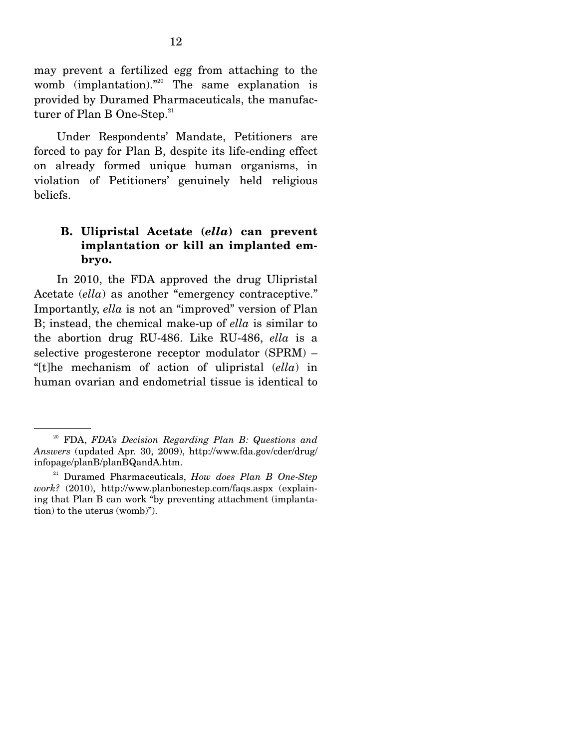may prevent a fertilized egg from attaching to the womb (implantation)."<sup>20</sup> The same explanation is provided by Duramed Pharmaceuticals, the manufacturer of Plan B One-Step.<sup>21</sup>

 Under Respondents' Mandate, Petitioners are forced to pay for Plan B, despite its life-ending effect on already formed unique human organisms, in violation of Petitioners' genuinely held religious beliefs.

### **B. Ulipristal Acetate (***ella***) can prevent implantation or kill an implanted embryo.**

In 2010, the FDA approved the drug Ulipristal Acetate (ella) as another "emergency contraceptive." Importantly, *ella* is not an "improved" version of Plan B; instead, the chemical make-up of *ella* is similar to the abortion drug RU-486. Like RU-486, *ella* is a selective progesterone receptor modulator (SPRM) – "[t]he mechanism of action of ulipristal (*ella*) in human ovarian and endometrial tissue is identical to

<sup>20</sup> FDA, *FDA's Decision Regarding Plan B: Questions and Answers* (updated Apr. 30, 2009), http://www.fda.gov/cder/drug/ infopage/planB/planBQandA.htm.

<sup>21</sup> Duramed Pharmaceuticals, *How does Plan B One-Step work?* (2010), http://www.planbonestep.com/faqs.aspx (explaining that Plan B can work "by preventing attachment (implantation) to the uterus (womb)").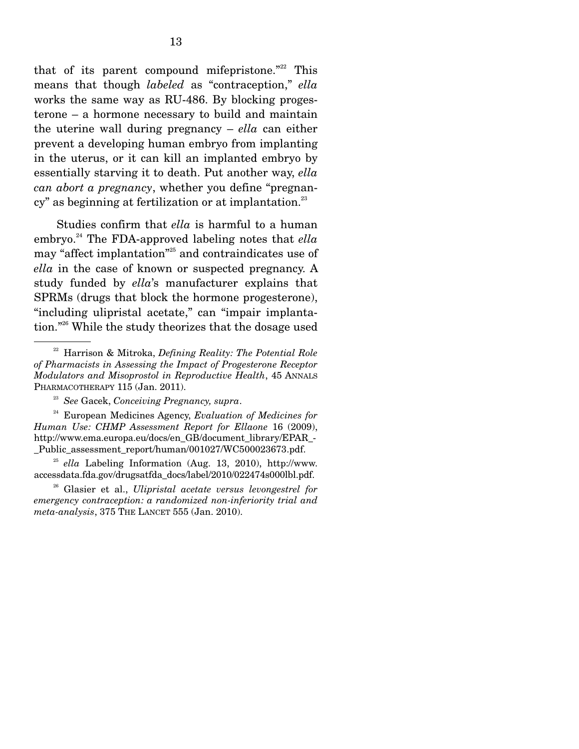that of its parent compound mifepristone."<sup>22</sup> This means that though *labeled* as "contraception," *ella*  works the same way as RU-486. By blocking progesterone – a hormone necessary to build and maintain the uterine wall during pregnancy – *ella* can either prevent a developing human embryo from implanting in the uterus, or it can kill an implanted embryo by essentially starving it to death. Put another way, *ella can abort a pregnancy*, whether you define "pregnan $cy''$  as beginning at fertilization or at implantation.<sup>23</sup>

Studies confirm that *ella* is harmful to a human embryo.<sup>24</sup> The FDA-approved labeling notes that *ella* may "affect implantation"25 and contraindicates use of *ella* in the case of known or suspected pregnancy. A study funded by *ella*'s manufacturer explains that SPRMs (drugs that block the hormone progesterone), "including ulipristal acetate," can "impair implantation."26 While the study theorizes that the dosage used

*Human Use: CHMP Assessment Report for Ellaone* 16 (2009), http://www.ema.europa.eu/docs/en\_GB/document\_library/EPAR\_- Public assessment report/human/001027/WC500023673.pdf.

<sup>25</sup> *ella* Labeling Information (Aug. 13, 2010), http://www. accessdata.fda.gov/drugsatfda\_docs/label/2010/022474s000lbl.pdf.

26 Glasier et al., *Ulipristal acetate versus levongestrel for emergency contraception: a randomized non-inferiority trial and meta-analysis*, 375 THE LANCET 555 (Jan. 2010).

<sup>22</sup> Harrison & Mitroka, *Defining Reality: The Potential Role of Pharmacists in Assessing the Impact of Progesterone Receptor Modulators and Misoprostol in Reproductive Health*, 45 ANNALS PHARMACOTHERAPY 115 (Jan. 2011).<br><sup>23</sup> *See* Gacek, *Conceiving Pregnancy, supra*.<br><sup>24</sup> European Medicines Agency, *Evaluation of Medicines for*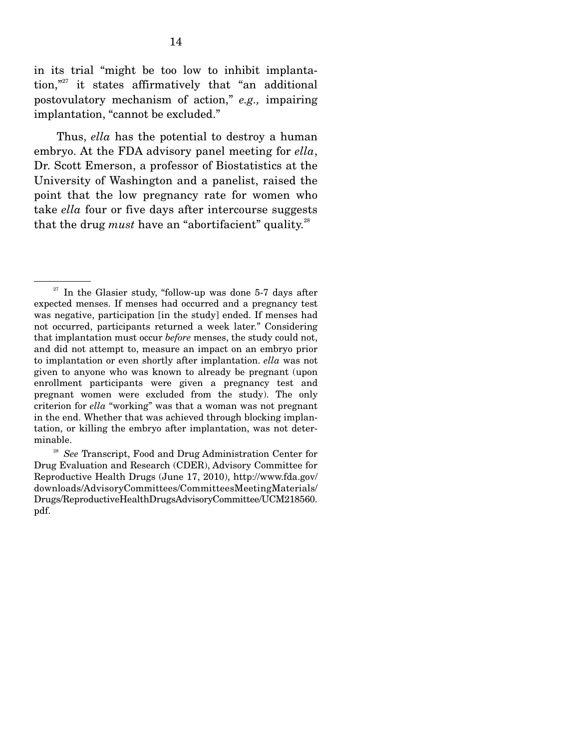in its trial "might be too low to inhibit implantation,"27 it states affirmatively that "an additional postovulatory mechanism of action," *e.g.,* impairing implantation, "cannot be excluded."

 Thus, *ella* has the potential to destroy a human embryo. At the FDA advisory panel meeting for *ella*, Dr. Scott Emerson, a professor of Biostatistics at the University of Washington and a panelist, raised the point that the low pregnancy rate for women who take *ella* four or five days after intercourse suggests that the drug *must* have an "abortifacient" quality.<sup>28</sup>

 $27$  In the Glasier study, "follow-up was done 5-7 days after expected menses. If menses had occurred and a pregnancy test was negative, participation [in the study] ended. If menses had not occurred, participants returned a week later." Considering that implantation must occur *before* menses, the study could not, and did not attempt to, measure an impact on an embryo prior to implantation or even shortly after implantation. *ella* was not given to anyone who was known to already be pregnant (upon enrollment participants were given a pregnancy test and pregnant women were excluded from the study). The only criterion for *ella* "working" was that a woman was not pregnant in the end. Whether that was achieved through blocking implantation, or killing the embryo after implantation, was not determinable.

<sup>28</sup> *See* Transcript, Food and Drug Administration Center for Drug Evaluation and Research (CDER), Advisory Committee for Reproductive Health Drugs (June 17, 2010), http://www.fda.gov/ downloads/AdvisoryCommittees/CommitteesMeetingMaterials/ Drugs/ReproductiveHealthDrugsAdvisoryCommittee/UCM218560. pdf.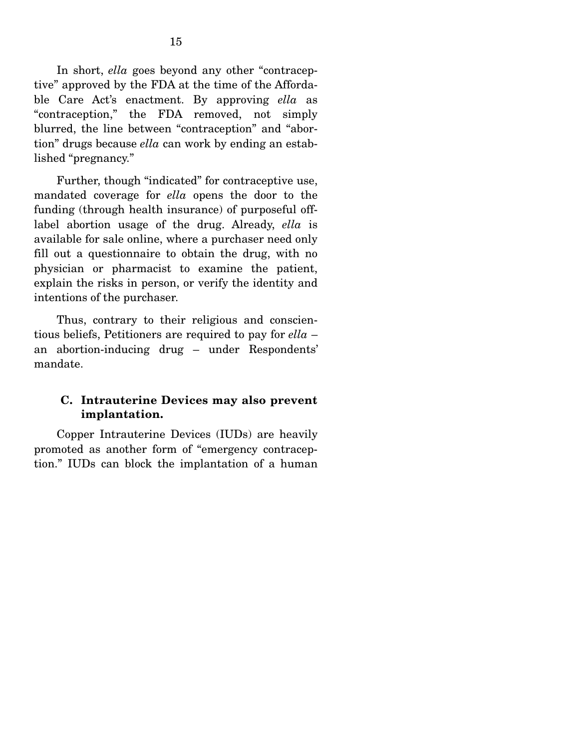In short, *ella* goes beyond any other "contraceptive" approved by the FDA at the time of the Affordable Care Act's enactment. By approving *ella* as "contraception," the FDA removed, not simply blurred, the line between "contraception" and "abortion" drugs because *ella* can work by ending an established "pregnancy."

 Further, though "indicated" for contraceptive use, mandated coverage for *ella* opens the door to the funding (through health insurance) of purposeful offlabel abortion usage of the drug. Already, *ella* is available for sale online, where a purchaser need only fill out a questionnaire to obtain the drug, with no physician or pharmacist to examine the patient, explain the risks in person, or verify the identity and intentions of the purchaser.

 Thus, contrary to their religious and conscientious beliefs, Petitioners are required to pay for *ella* – an abortion-inducing drug – under Respondents' mandate.

### **C. Intrauterine Devices may also prevent implantation.**

Copper Intrauterine Devices (IUDs) are heavily promoted as another form of "emergency contraception." IUDs can block the implantation of a human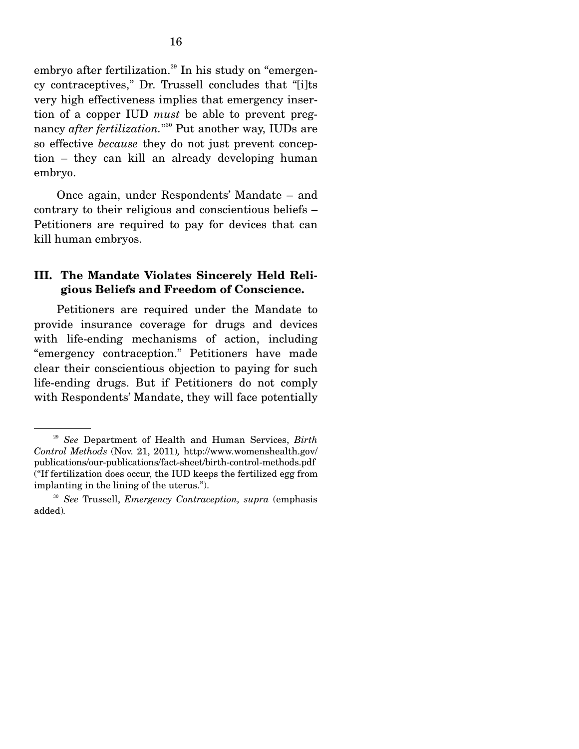embryo after fertilization.<sup>29</sup> In his study on "emergency contraceptives," Dr. Trussell concludes that "[i]ts very high effectiveness implies that emergency insertion of a copper IUD *must* be able to prevent pregnancy *after fertilization.*" 30 Put another way, IUDs are so effective *because* they do not just prevent conception – they can kill an already developing human embryo.

 Once again, under Respondents' Mandate – and contrary to their religious and conscientious beliefs – Petitioners are required to pay for devices that can kill human embryos.

### **III. The Mandate Violates Sincerely Held Religious Beliefs and Freedom of Conscience.**

Petitioners are required under the Mandate to provide insurance coverage for drugs and devices with life-ending mechanisms of action, including "emergency contraception." Petitioners have made clear their conscientious objection to paying for such life-ending drugs. But if Petitioners do not comply with Respondents' Mandate, they will face potentially

<sup>29</sup> *See* Department of Health and Human Services, *Birth Control Methods* (Nov. 21, 2011)*,* http://www.womenshealth.gov/ publications/our-publications/fact-sheet/birth-control-methods.pdf ("If fertilization does occur, the IUD keeps the fertilized egg from implanting in the lining of the uterus.").

<sup>30</sup> *See* Trussell, *Emergency Contraception, supra* (emphasis added)*.*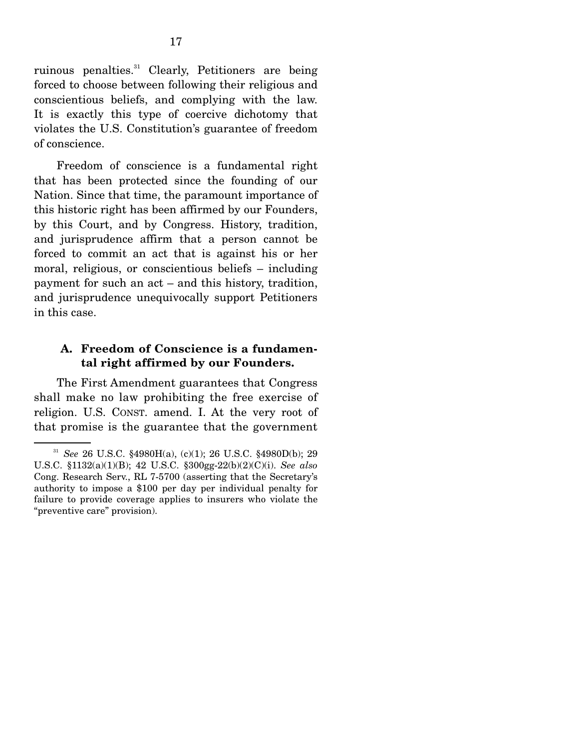ruinous penalties.<sup>31</sup> Clearly, Petitioners are being forced to choose between following their religious and conscientious beliefs, and complying with the law. It is exactly this type of coercive dichotomy that violates the U.S. Constitution's guarantee of freedom of conscience.

 Freedom of conscience is a fundamental right that has been protected since the founding of our Nation. Since that time, the paramount importance of this historic right has been affirmed by our Founders, by this Court, and by Congress. History, tradition, and jurisprudence affirm that a person cannot be forced to commit an act that is against his or her moral, religious, or conscientious beliefs – including payment for such an act – and this history, tradition, and jurisprudence unequivocally support Petitioners in this case.

### **A. Freedom of Conscience is a fundamental right affirmed by our Founders.**

The First Amendment guarantees that Congress shall make no law prohibiting the free exercise of religion. U.S. CONST. amend. I. At the very root of that promise is the guarantee that the government

<sup>31</sup> *See* 26 U.S.C. §4980H(a), (c)(1); 26 U.S.C. §4980D(b); 29 U.S.C. §1132(a)(1)(B); 42 U.S.C. §300gg-22(b)(2)(C)(i). *See also* Cong. Research Serv., RL 7-5700 (asserting that the Secretary's authority to impose a \$100 per day per individual penalty for failure to provide coverage applies to insurers who violate the "preventive care" provision).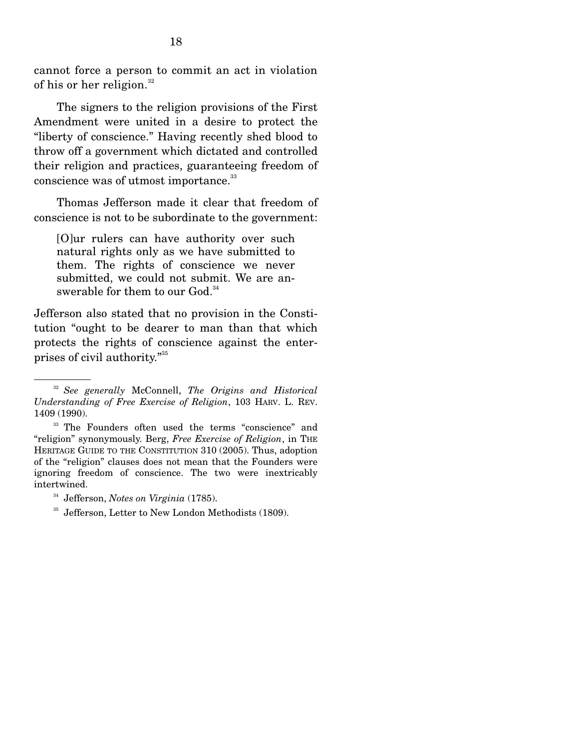cannot force a person to commit an act in violation of his or her religion.<sup>32</sup>

 The signers to the religion provisions of the First Amendment were united in a desire to protect the "liberty of conscience." Having recently shed blood to throw off a government which dictated and controlled their religion and practices, guaranteeing freedom of conscience was of utmost importance.<sup>33</sup>

 Thomas Jefferson made it clear that freedom of conscience is not to be subordinate to the government:

[O]ur rulers can have authority over such natural rights only as we have submitted to them. The rights of conscience we never submitted, we could not submit. We are answerable for them to our God.<sup>34</sup>

Jefferson also stated that no provision in the Constitution "ought to be dearer to man than that which protects the rights of conscience against the enterprises of civil authority."35

<sup>32</sup> *See generally* McConnell, *The Origins and Historical Understanding of Free Exercise of Religion*, 103 HARV. L. REV. 1409 (1990).

<sup>&</sup>lt;sup>33</sup> The Founders often used the terms "conscience" and "religion" synonymously. Berg, *Free Exercise of Religion*, in THE HERITAGE GUIDE TO THE CONSTITUTION 310 (2005). Thus, adoption of the "religion" clauses does not mean that the Founders were ignoring freedom of conscience. The two were inextricably intertwined.

<sup>&</sup>lt;sup>34</sup> Jefferson, *Notes on Virginia* (1785).<br><sup>35</sup> Jefferson, Letter to New London Methodists (1809).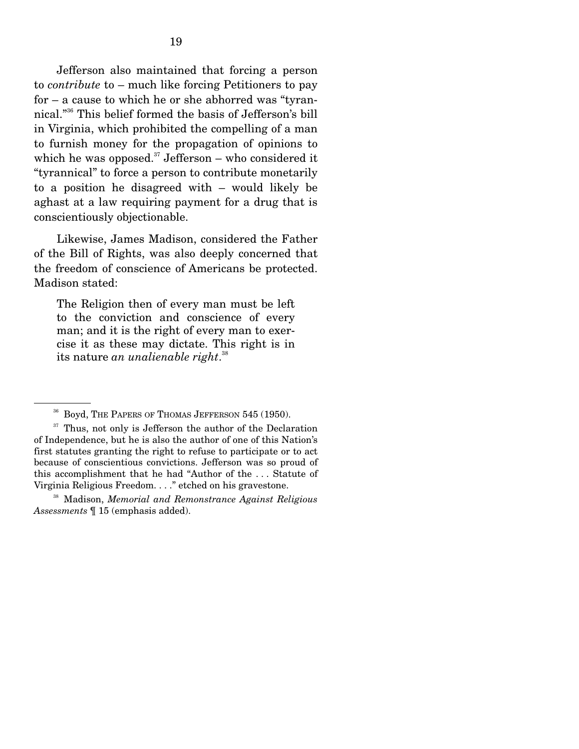Jefferson also maintained that forcing a person to *contribute* to – much like forcing Petitioners to pay for – a cause to which he or she abhorred was "tyrannical."36 This belief formed the basis of Jefferson's bill in Virginia, which prohibited the compelling of a man to furnish money for the propagation of opinions to which he was opposed.<sup>37</sup> Jefferson – who considered it "tyrannical" to force a person to contribute monetarily to a position he disagreed with – would likely be aghast at a law requiring payment for a drug that is conscientiously objectionable.

 Likewise, James Madison, considered the Father of the Bill of Rights, was also deeply concerned that the freedom of conscience of Americans be protected. Madison stated:

The Religion then of every man must be left to the conviction and conscience of every man; and it is the right of every man to exercise it as these may dictate. This right is in its nature *an unalienable right*. 38

<sup>&</sup>lt;sup>36</sup> Boyd, THE PAPERS OF THOMAS JEFFERSON 545 (1950).

<sup>&</sup>lt;sup>37</sup> Thus, not only is Jefferson the author of the Declaration of Independence, but he is also the author of one of this Nation's first statutes granting the right to refuse to participate or to act because of conscientious convictions. Jefferson was so proud of this accomplishment that he had "Author of the . . . Statute of Virginia Religious Freedom. . . ." etched on his gravestone.

<sup>38</sup> Madison, *Memorial and Remonstrance Against Religious Assessments* ¶ 15 (emphasis added).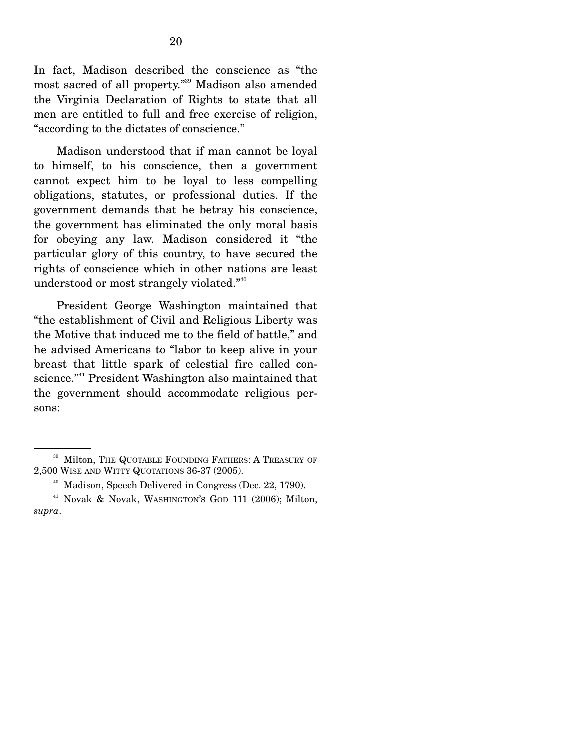In fact, Madison described the conscience as "the most sacred of all property."39 Madison also amended the Virginia Declaration of Rights to state that all men are entitled to full and free exercise of religion, "according to the dictates of conscience."

 Madison understood that if man cannot be loyal to himself, to his conscience, then a government cannot expect him to be loyal to less compelling obligations, statutes, or professional duties. If the government demands that he betray his conscience, the government has eliminated the only moral basis for obeying any law. Madison considered it "the particular glory of this country, to have secured the rights of conscience which in other nations are least understood or most strangely violated."40

 President George Washington maintained that "the establishment of Civil and Religious Liberty was the Motive that induced me to the field of battle," and he advised Americans to "labor to keep alive in your breast that little spark of celestial fire called conscience."<sup>41</sup> President Washington also maintained that the government should accommodate religious persons:

<sup>&</sup>lt;sup>39</sup> Milton, THE QUOTABLE FOUNDING FATHERS: A TREASURY OF 2,500 WISE AND WITTY QUOTATIONS 36-37 (2005).

 $40$  Madison, Speech Delivered in Congress (Dec. 22, 1790).

<sup>41</sup> Novak & Novak, WASHINGTON'S GOD 111 (2006); Milton, *supra*.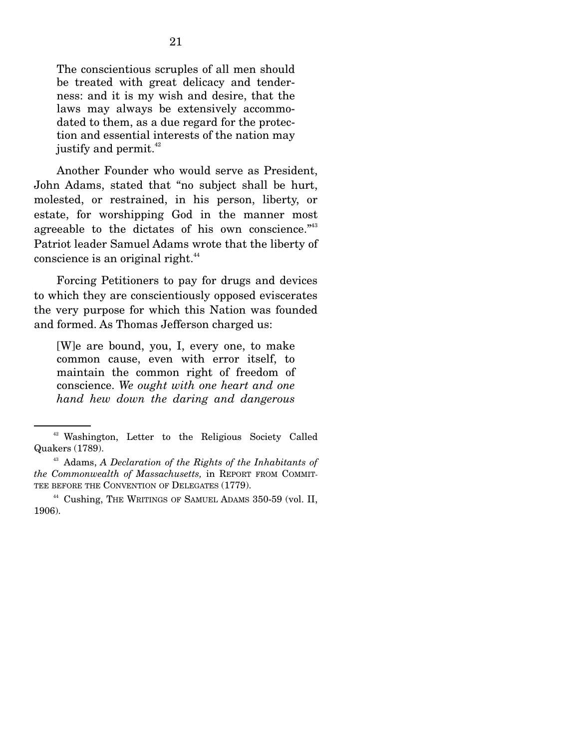The conscientious scruples of all men should be treated with great delicacy and tenderness: and it is my wish and desire, that the laws may always be extensively accommodated to them, as a due regard for the protection and essential interests of the nation may justify and permit. $42$ 

 Another Founder who would serve as President, John Adams, stated that "no subject shall be hurt, molested, or restrained, in his person, liberty, or estate, for worshipping God in the manner most agreeable to the dictates of his own conscience."<sup>43</sup> Patriot leader Samuel Adams wrote that the liberty of conscience is an original right.<sup>44</sup>

 Forcing Petitioners to pay for drugs and devices to which they are conscientiously opposed eviscerates the very purpose for which this Nation was founded and formed. As Thomas Jefferson charged us:

[W]e are bound, you, I, every one, to make common cause, even with error itself, to maintain the common right of freedom of conscience. *We ought with one heart and one hand hew down the daring and dangerous* 

<sup>42</sup> Washington, Letter to the Religious Society Called Quakers (1789).

<sup>43</sup> Adams, *A Declaration of the Rights of the Inhabitants of the Commonwealth of Massachusetts,* in REPORT FROM COMMIT-TEE BEFORE THE CONVENTION OF DELEGATES (1779).

<sup>&</sup>lt;sup>44</sup> Cushing, THE WRITINGS OF SAMUEL ADAMS 350-59 (vol. II, 1906).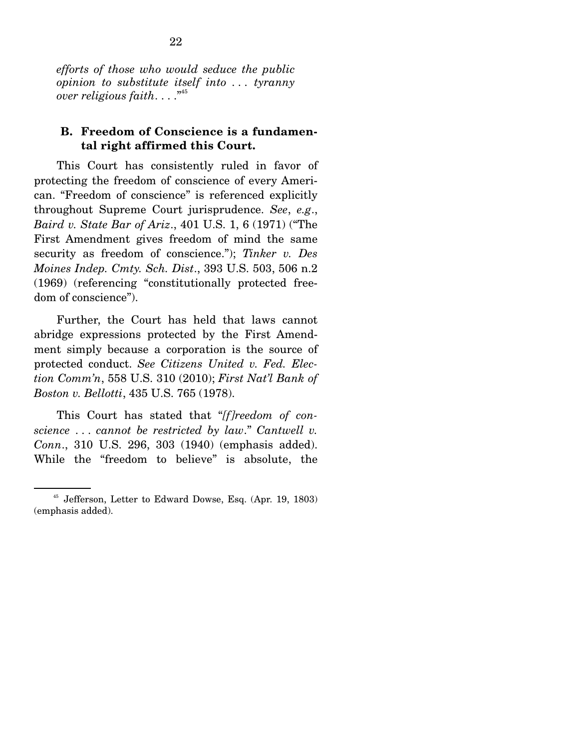*efforts of those who would seduce the public opinion to substitute itself into . . . tyranny over religious faith*. . . ."45

### **B. Freedom of Conscience is a fundamental right affirmed this Court.**

This Court has consistently ruled in favor of protecting the freedom of conscience of every American. "Freedom of conscience" is referenced explicitly throughout Supreme Court jurisprudence. *See*, *e.g*., *Baird v. State Bar of Ariz*., 401 U.S. 1, 6 (1971) ("The First Amendment gives freedom of mind the same security as freedom of conscience."); *Tinker v. Des Moines Indep. Cmty. Sch. Dist*., 393 U.S. 503, 506 n.2 (1969) (referencing "constitutionally protected freedom of conscience").

 Further, the Court has held that laws cannot abridge expressions protected by the First Amendment simply because a corporation is the source of protected conduct. *See Citizens United v. Fed. Election Comm'n*, 558 U.S. 310 (2010); *First Nat'l Bank of Boston v. Bellotti*, 435 U.S. 765 (1978).

 This Court has stated that "*[f]reedom of conscience* . . . *cannot be restricted by law*." *Cantwell v. Conn*., 310 U.S. 296, 303 (1940) (emphasis added). While the "freedom to believe" is absolute, the

<sup>45</sup> Jefferson, Letter to Edward Dowse, Esq. (Apr. 19, 1803) (emphasis added).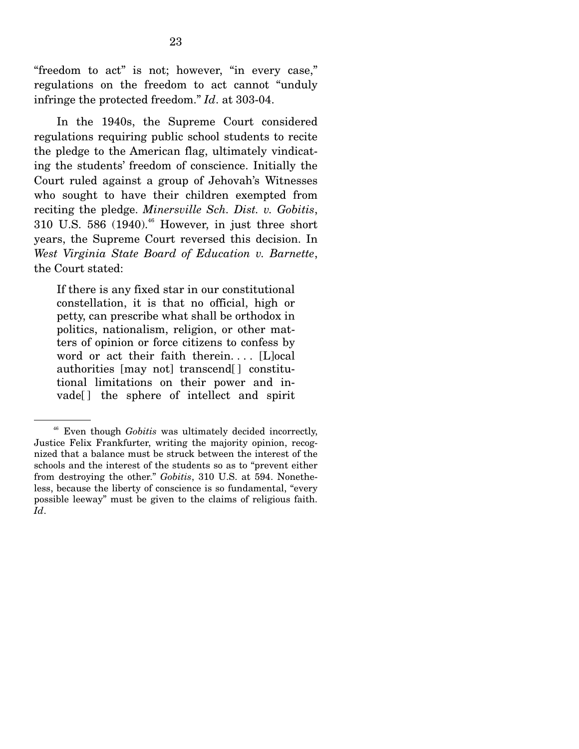"freedom to act" is not; however, "in every case," regulations on the freedom to act cannot "unduly infringe the protected freedom." *Id*. at 303-04.

 In the 1940s, the Supreme Court considered regulations requiring public school students to recite the pledge to the American flag, ultimately vindicating the students' freedom of conscience. Initially the Court ruled against a group of Jehovah's Witnesses who sought to have their children exempted from reciting the pledge. *Minersville Sch. Dist. v. Gobitis*, 310 U.S. 586  $(1940)^{46}$  However, in just three short years, the Supreme Court reversed this decision. In *West Virginia State Board of Education v. Barnette*, the Court stated:

If there is any fixed star in our constitutional constellation, it is that no official, high or petty, can prescribe what shall be orthodox in politics, nationalism, religion, or other matters of opinion or force citizens to confess by word or act their faith therein.... [Llocal] authorities [may not] transcend[ ] constitutional limitations on their power and invade[ ] the sphere of intellect and spirit

<sup>46</sup> Even though *Gobitis* was ultimately decided incorrectly, Justice Felix Frankfurter, writing the majority opinion, recognized that a balance must be struck between the interest of the schools and the interest of the students so as to "prevent either from destroying the other." *Gobitis*, 310 U.S. at 594. Nonetheless, because the liberty of conscience is so fundamental, "every possible leeway" must be given to the claims of religious faith. *Id*.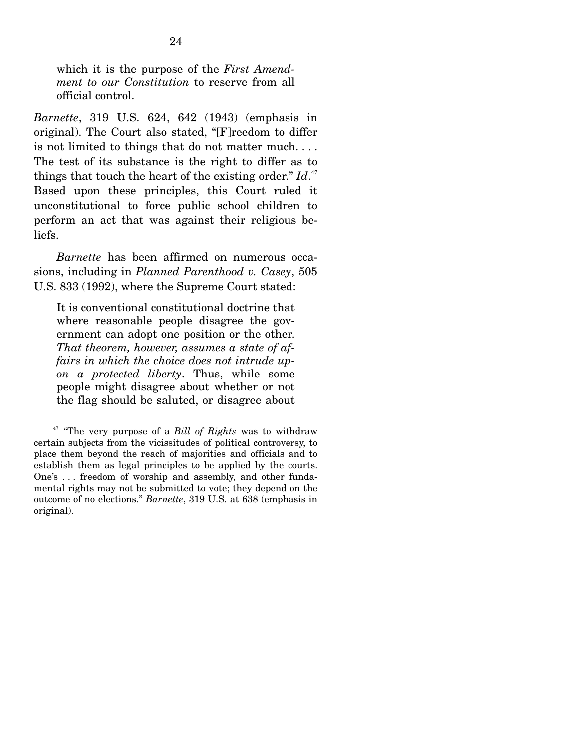which it is the purpose of the *First Amendment to our Constitution* to reserve from all official control.

*Barnette*, 319 U.S. 624, 642 (1943) (emphasis in original). The Court also stated, "[F]reedom to differ is not limited to things that do not matter much. . . . The test of its substance is the right to differ as to things that touch the heart of the existing order." Id.<sup>47</sup> Based upon these principles, this Court ruled it unconstitutional to force public school children to perform an act that was against their religious beliefs.

*Barnette* has been affirmed on numerous occasions, including in *Planned Parenthood v. Casey*, 505 U.S. 833 (1992), where the Supreme Court stated:

It is conventional constitutional doctrine that where reasonable people disagree the government can adopt one position or the other. *That theorem, however, assumes a state of affairs in which the choice does not intrude upon a protected liberty*. Thus, while some people might disagree about whether or not the flag should be saluted, or disagree about

<sup>47 &</sup>quot;The very purpose of a *Bill of Rights* was to withdraw certain subjects from the vicissitudes of political controversy, to place them beyond the reach of majorities and officials and to establish them as legal principles to be applied by the courts. One's . . . freedom of worship and assembly, and other fundamental rights may not be submitted to vote; they depend on the outcome of no elections." *Barnette*, 319 U.S. at 638 (emphasis in original).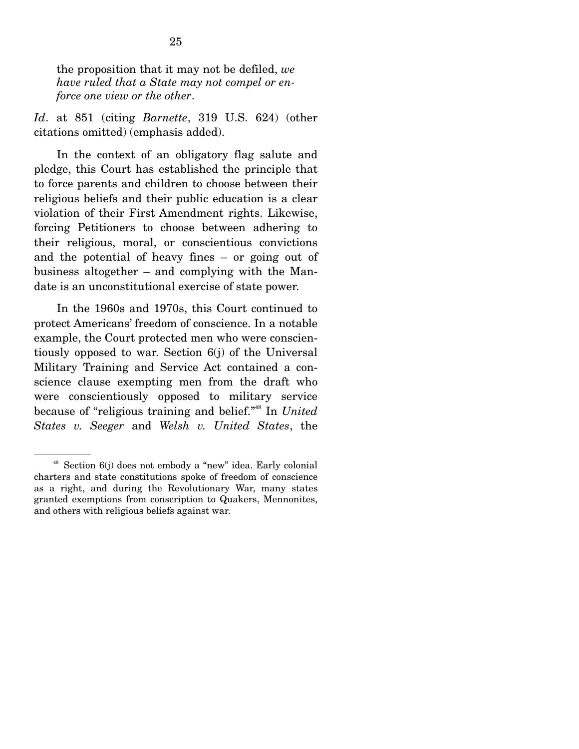the proposition that it may not be defiled, *we have ruled that a State may not compel or enforce one view or the other*.

*Id*. at 851 (citing *Barnette*, 319 U.S. 624) (other citations omitted) (emphasis added).

 In the context of an obligatory flag salute and pledge, this Court has established the principle that to force parents and children to choose between their religious beliefs and their public education is a clear violation of their First Amendment rights. Likewise, forcing Petitioners to choose between adhering to their religious, moral, or conscientious convictions and the potential of heavy fines – or going out of business altogether – and complying with the Mandate is an unconstitutional exercise of state power.

 In the 1960s and 1970s, this Court continued to protect Americans' freedom of conscience. In a notable example, the Court protected men who were conscientiously opposed to war. Section 6(j) of the Universal Military Training and Service Act contained a conscience clause exempting men from the draft who were conscientiously opposed to military service because of "religious training and belief."48 In *United States v. Seeger* and *Welsh v. United States*, the

<sup>48</sup> Section 6(j) does not embody a "new" idea. Early colonial charters and state constitutions spoke of freedom of conscience as a right, and during the Revolutionary War, many states granted exemptions from conscription to Quakers, Mennonites, and others with religious beliefs against war.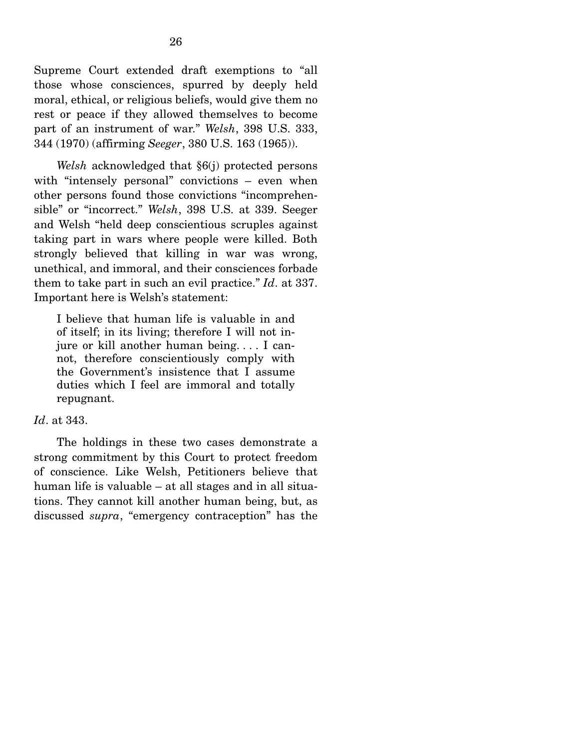Supreme Court extended draft exemptions to "all those whose consciences, spurred by deeply held moral, ethical, or religious beliefs, would give them no rest or peace if they allowed themselves to become part of an instrument of war." *Welsh*, 398 U.S. 333, 344 (1970) (affirming *Seeger*, 380 U.S. 163 (1965)).

*Welsh* acknowledged that §6(j) protected persons with "intensely personal" convictions – even when other persons found those convictions "incomprehensible" or "incorrect." *Welsh*, 398 U.S. at 339. Seeger and Welsh "held deep conscientious scruples against taking part in wars where people were killed. Both strongly believed that killing in war was wrong, unethical, and immoral, and their consciences forbade them to take part in such an evil practice." *Id*. at 337. Important here is Welsh's statement:

I believe that human life is valuable in and of itself; in its living; therefore I will not injure or kill another human being. . . . I cannot, therefore conscientiously comply with the Government's insistence that I assume duties which I feel are immoral and totally repugnant.

#### *Id*. at 343.

 The holdings in these two cases demonstrate a strong commitment by this Court to protect freedom of conscience. Like Welsh, Petitioners believe that human life is valuable – at all stages and in all situations. They cannot kill another human being, but, as discussed *supra*, "emergency contraception" has the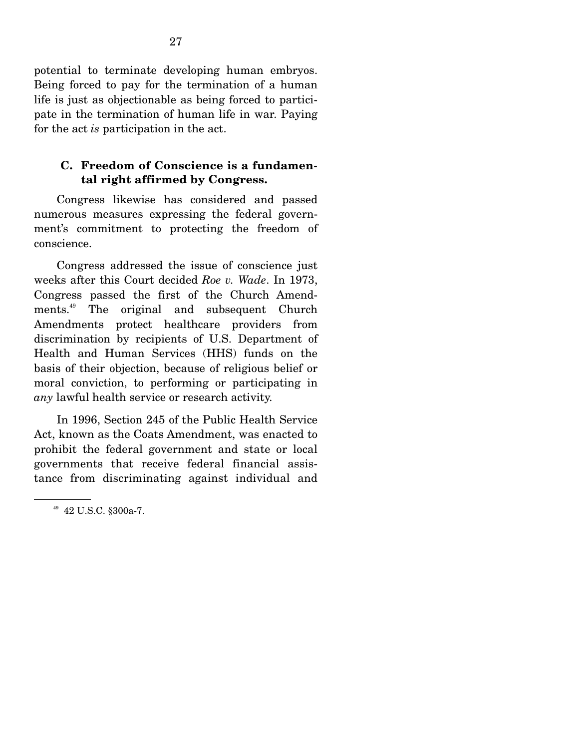potential to terminate developing human embryos. Being forced to pay for the termination of a human life is just as objectionable as being forced to participate in the termination of human life in war. Paying for the act *is* participation in the act.

### **C. Freedom of Conscience is a fundamental right affirmed by Congress.**

Congress likewise has considered and passed numerous measures expressing the federal government's commitment to protecting the freedom of conscience.

 Congress addressed the issue of conscience just weeks after this Court decided *Roe v. Wade*. In 1973, Congress passed the first of the Church Amendments.49 The original and subsequent Church Amendments protect healthcare providers from discrimination by recipients of U.S. Department of Health and Human Services (HHS) funds on the basis of their objection, because of religious belief or moral conviction, to performing or participating in *any* lawful health service or research activity.

 In 1996, Section 245 of the Public Health Service Act, known as the Coats Amendment, was enacted to prohibit the federal government and state or local governments that receive federal financial assistance from discriminating against individual and

<sup>49 42</sup> U.S.C. §300a-7.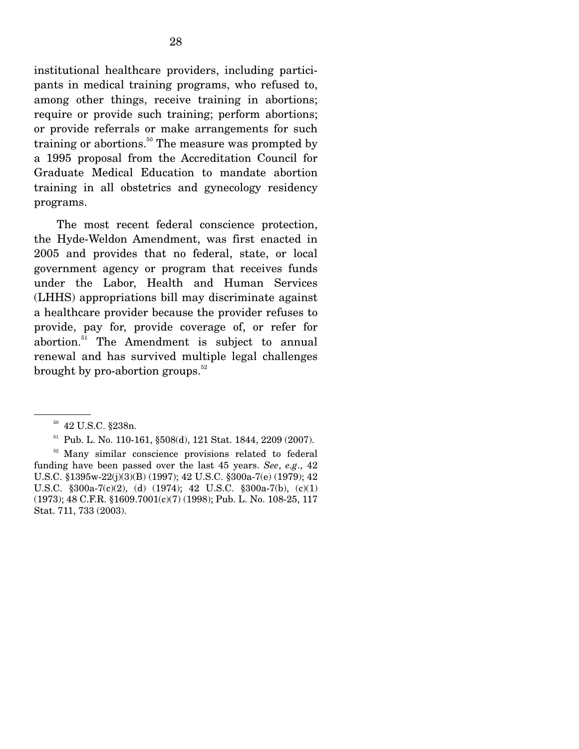institutional healthcare providers, including participants in medical training programs, who refused to, among other things, receive training in abortions; require or provide such training; perform abortions; or provide referrals or make arrangements for such training or abortions.<sup>50</sup> The measure was prompted by a 1995 proposal from the Accreditation Council for Graduate Medical Education to mandate abortion training in all obstetrics and gynecology residency programs.

 The most recent federal conscience protection, the Hyde-Weldon Amendment, was first enacted in 2005 and provides that no federal, state, or local government agency or program that receives funds under the Labor, Health and Human Services (LHHS) appropriations bill may discriminate against a healthcare provider because the provider refuses to provide, pay for, provide coverage of, or refer for abortion.51 The Amendment is subject to annual renewal and has survived multiple legal challenges brought by pro-abortion groups.<sup>52</sup>

<sup>&</sup>lt;sup>50</sup> 42 U.S.C. §238n.

 $51$  Pub. L. No. 110-161, §508(d), 121 Stat. 1844, 2209 (2007).

<sup>&</sup>lt;sup>52</sup> Many similar conscience provisions related to federal funding have been passed over the last 45 years. *See*, *e.g*., 42 U.S.C. §1395w-22(j)(3)(B) (1997); 42 U.S.C. §300a-7(e) (1979); 42 U.S.C. §300a-7(c)(2), (d) (1974); 42 U.S.C. §300a-7(b), (c)(1) (1973); 48 C.F.R. §1609.7001(c)(7) (1998); Pub. L. No. 108-25, 117 Stat. 711, 733 (2003).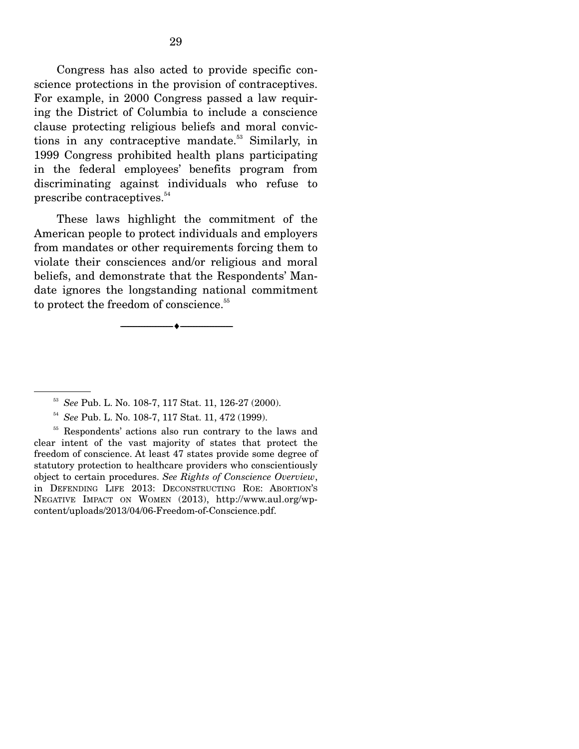Congress has also acted to provide specific conscience protections in the provision of contraceptives. For example, in 2000 Congress passed a law requiring the District of Columbia to include a conscience clause protecting religious beliefs and moral convictions in any contraceptive mandate.<sup>53</sup> Similarly, in 1999 Congress prohibited health plans participating in the federal employees' benefits program from discriminating against individuals who refuse to prescribe contraceptives.<sup>54</sup>

 These laws highlight the commitment of the American people to protect individuals and employers from mandates or other requirements forcing them to violate their consciences and/or religious and moral beliefs, and demonstrate that the Respondents' Mandate ignores the longstanding national commitment to protect the freedom of conscience.<sup>55</sup>

--------------------------------- ---------------------------------

55 Respondents' actions also run contrary to the laws and clear intent of the vast majority of states that protect the freedom of conscience. At least 47 states provide some degree of statutory protection to healthcare providers who conscientiously object to certain procedures. *See Rights of Conscience Overview*, in DEFENDING LIFE 2013: DECONSTRUCTING ROE: ABORTION'S NEGATIVE IMPACT ON WOMEN (2013), http://www.aul.org/wpcontent/uploads/2013/04/06-Freedom-of-Conscience.pdf.

<sup>53</sup> *See* Pub. L. No. 108-7, 117 Stat. 11, 126-27 (2000).

<sup>54</sup> *See* Pub. L. No. 108-7, 117 Stat. 11, 472 (1999).